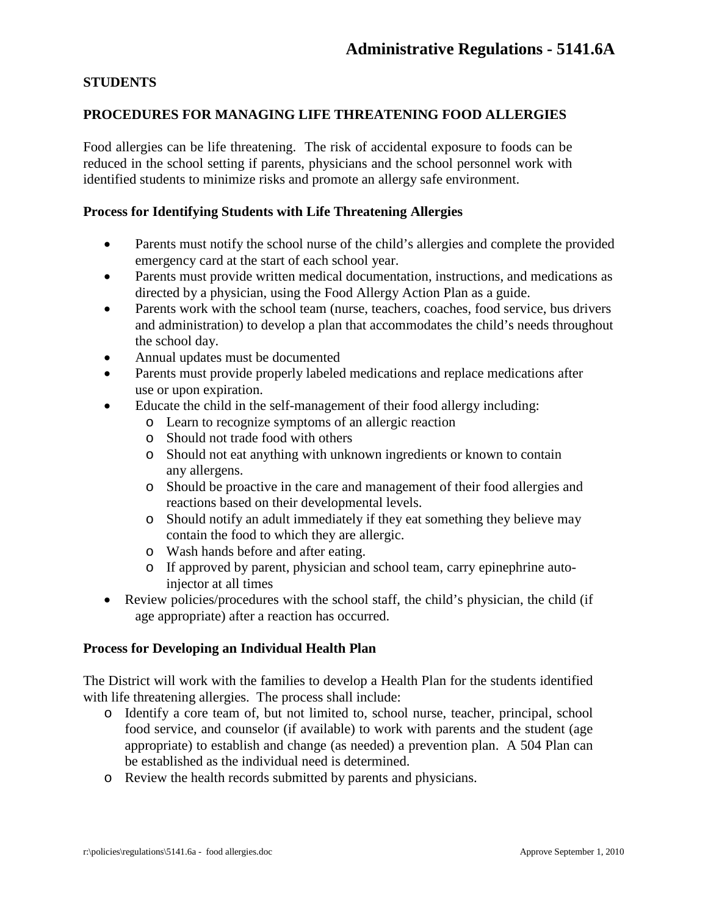## **STUDENTS**

#### **PROCEDURES FOR MANAGING LIFE THREATENING FOOD ALLERGIES**

Food allergies can be life threatening. The risk of accidental exposure to foods can be reduced in the school setting if parents, physicians and the school personnel work with identified students to minimize risks and promote an allergy safe environment.

#### **Process for Identifying Students with Life Threatening Allergies**

- Parents must notify the school nurse of the child's allergies and complete the provided emergency card at the start of each school year.
- Parents must provide written medical documentation, instructions, and medications as directed by a physician, using the Food Allergy Action Plan as a guide.
- Parents work with the school team (nurse, teachers, coaches, food service, bus drivers and administration) to develop a plan that accommodates the child's needs throughout the school day.
- Annual updates must be documented
- Parents must provide properly labeled medications and replace medications after use or upon expiration.
- Educate the child in the self-management of their food allergy including:
	- o Learn to recognize symptoms of an allergic reaction
	- o Should not trade food with others
	- o Should not eat anything with unknown ingredients or known to contain any allergens.
	- o Should be proactive in the care and management of their food allergies and reactions based on their developmental levels.
	- o Should notify an adult immediately if they eat something they believe may contain the food to which they are allergic.
	- o Wash hands before and after eating.
	- o If approved by parent, physician and school team, carry epinephrine autoinjector at all times
- Review policies/procedures with the school staff, the child's physician, the child (if age appropriate) after a reaction has occurred.

#### **Process for Developing an Individual Health Plan**

The District will work with the families to develop a Health Plan for the students identified with life threatening allergies. The process shall include:

- o Identify a core team of, but not limited to, school nurse, teacher, principal, school food service, and counselor (if available) to work with parents and the student (age appropriate) to establish and change (as needed) a prevention plan. A 504 Plan can be established as the individual need is determined.
- o Review the health records submitted by parents and physicians.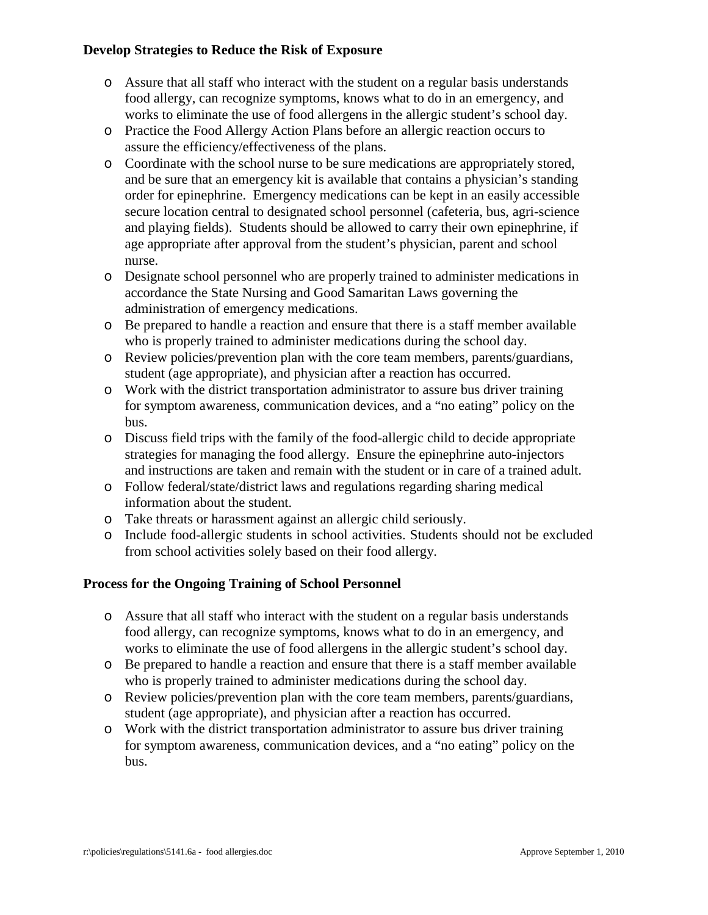## **Develop Strategies to Reduce the Risk of Exposure**

- o Assure that all staff who interact with the student on a regular basis understands food allergy, can recognize symptoms, knows what to do in an emergency, and works to eliminate the use of food allergens in the allergic student's school day.
- o Practice the Food Allergy Action Plans before an allergic reaction occurs to assure the efficiency/effectiveness of the plans.
- o Coordinate with the school nurse to be sure medications are appropriately stored, and be sure that an emergency kit is available that contains a physician's standing order for epinephrine. Emergency medications can be kept in an easily accessible secure location central to designated school personnel (cafeteria, bus, agri-science and playing fields). Students should be allowed to carry their own epinephrine, if age appropriate after approval from the student's physician, parent and school nurse.
- o Designate school personnel who are properly trained to administer medications in accordance the State Nursing and Good Samaritan Laws governing the administration of emergency medications.
- o Be prepared to handle a reaction and ensure that there is a staff member available who is properly trained to administer medications during the school day.
- o Review policies/prevention plan with the core team members, parents/guardians, student (age appropriate), and physician after a reaction has occurred.
- o Work with the district transportation administrator to assure bus driver training for symptom awareness, communication devices, and a "no eating" policy on the bus.
- o Discuss field trips with the family of the food-allergic child to decide appropriate strategies for managing the food allergy. Ensure the epinephrine auto-injectors and instructions are taken and remain with the student or in care of a trained adult.
- o Follow federal/state/district laws and regulations regarding sharing medical information about the student.
- o Take threats or harassment against an allergic child seriously.
- o Include food-allergic students in school activities. Students should not be excluded from school activities solely based on their food allergy.

# **Process for the Ongoing Training of School Personnel**

- o Assure that all staff who interact with the student on a regular basis understands food allergy, can recognize symptoms, knows what to do in an emergency, and works to eliminate the use of food allergens in the allergic student's school day.
- o Be prepared to handle a reaction and ensure that there is a staff member available who is properly trained to administer medications during the school day.
- o Review policies/prevention plan with the core team members, parents/guardians, student (age appropriate), and physician after a reaction has occurred.
- o Work with the district transportation administrator to assure bus driver training for symptom awareness, communication devices, and a "no eating" policy on the bus.